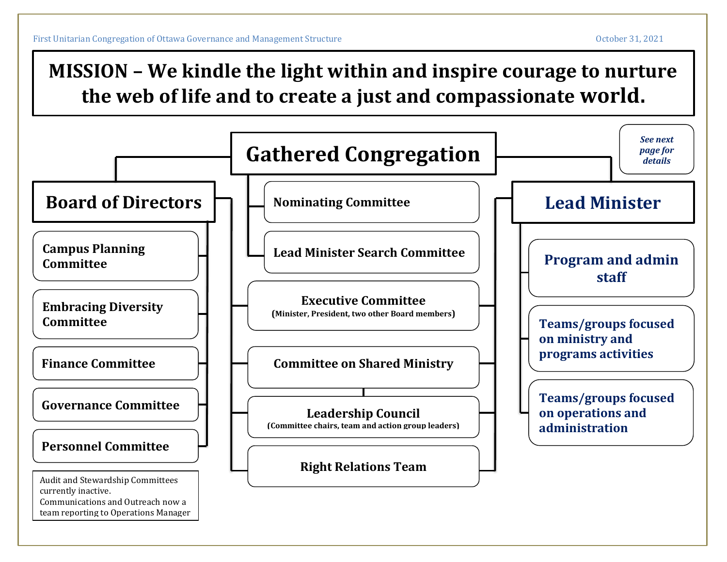